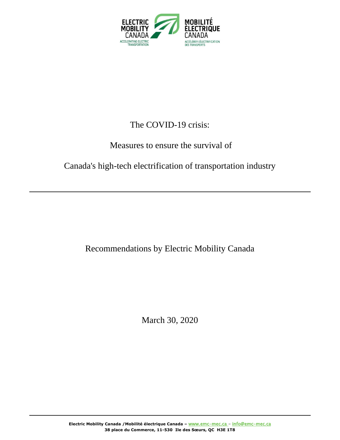

## The COVID-19 crisis:

### Measures to ensure the survival of

### Canada's high-tech electrification of transportation industry

### Recommendations by Electric Mobility Canada

March 30, 2020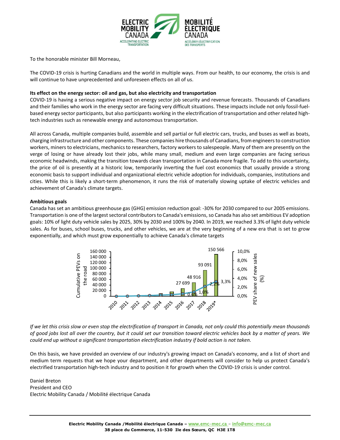

To the honorable minister Bill Morneau,

The COVID-19 crisis is hurting Canadians and the world in multiple ways. From our health, to our economy, the crisis is and will continue to have unprecedented and unforeseen effects on all of us.

### **Its effect on the energy sector: oil and gas, but also electricity and transportation**

COVID-19 is having a serious negative impact on energy sector job security and revenue forecasts. Thousands of Canadians and their families who work in the energy sector are facing very difficult situations. These impacts include not only fossil-fuelbased energy sector participants, but also participants working in the electrification of transportation and other related hightech industries such as renewable energy and autonomous transportation.

All across Canada, multiple companies build, assemble and sell partial or full electric cars, trucks, and buses as well as boats, charging infrastructure and other components. These companies hire thousands of Canadians, from engineers to construction workers, miners to electricians, mechanics to researchers, factory workers to salespeople. Many of them are presently on the verge of losing or have already lost their jobs, while many small, medium and even large companies are facing serious economic headwinds, making the transition towards clean transportation in Canada more fragile. To add to this uncertainty, the price of oil is presently at a historic low, temporarily inverting the fuel cost economics that usually provide a strong economic basis to support individual and organizational electric vehicle adoption for individuals, companies, institutions and cities. While this is likely a short-term phenomenon, it runs the risk of materially slowing uptake of electric vehicles and achievement of Canada's climate targets.

#### **Ambitious goals**

Canada has set an ambitious greenhouse gas (GHG) emission reduction goal: -30% for 2030 compared to our 2005 emissions. Transportation is one of the largest sectoral contributors to Canada's emissions, so Canada has also set ambitious EV adoption goals: 10% of light duty vehicle sales by 2025, 30% by 2030 and 100% by 2040. In 2019, we reached 3.3% of light duty vehicle sales. As for buses, school buses, trucks, and other vehicles, we are at the very beginning of a new era that is set to grow exponentially, and which must grow exponentially to achieve Canada's climate targets



*If we let this crisis slow or even stop the electrification of transport in Canada, not only could this potentially mean thousands of good jobs lost all over the country, but it could set our transition toward electric vehicles back by a matter of years. We could end up without a significant transportation electrification industry if bold action is not taken.* 

On this basis, we have provided an overview of our industry's growing impact on Canada's economy, and a list of short and medium term requests that we hope your department, and other departments will consider to help us protect Canada's electrified transportation high-tech industry and to position it for growth when the COVID-19 crisis is under control.

Daniel Breton President and CEO Electric Mobility Canada / Mobilité électrique Canada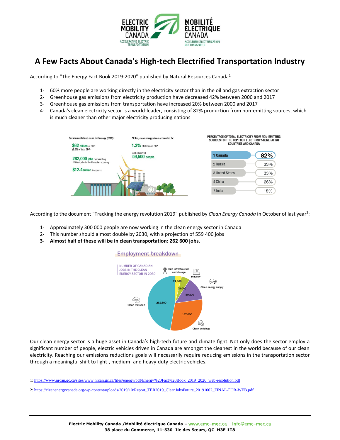

### **A Few Facts About Canada's High-tech Electrified Transportation Industry**

According to "The Energy Fact Book 2019-2020" published by Natural Resources Canada<sup>1</sup>

- 1- 60% more people are working directly in the electricity sector than in the oil and gas extraction sector
- 2- Greenhouse gas emissions from electricity production have decreased 42% between 2000 and 2017
- 3- Greenhouse gas emissions from transportation have increased 20% between 2000 and 2017
- 4- Canada's clean electricity sector is a world-leader, consisting of 82% production from non-emitting sources, which is much cleaner than other major electricity producing nations

| Environmental and clean technology (2017):<br>\$62 billion of GDP<br>(3.0% of total GDP) | Of this, clean energy alone accounted for<br>1.3% of Canada's GDP | PERCENTAGE OF TOTAL ELECTRICITY FROM NON-EMITTING<br>SOURCES FOR THE TOP FOUR ELECTRICITY-GENERATING<br><b>COUNTRIES AND CANADA</b> |     |
|------------------------------------------------------------------------------------------|-------------------------------------------------------------------|-------------------------------------------------------------------------------------------------------------------------------------|-----|
| 282,000 jobs representing                                                                | and employed<br>59,500 people.                                    | 1 Canada                                                                                                                            | 82% |
| 1.5% of jobs in the Canadian economy<br>\$12.4 billion in exports<br>a a bash            |                                                                   | 2 Russia                                                                                                                            | 33% |
|                                                                                          |                                                                   | 3 United States                                                                                                                     | 33% |
|                                                                                          |                                                                   | 4 China                                                                                                                             | 26% |
|                                                                                          |                                                                   | 5 India                                                                                                                             | 18% |

According to the document "Tracking the energy revolution 2019" published by *Clean Energy Canada* in October of last year<sup>2</sup>:

- 1- Approximately 300 000 people are now working in the clean energy sector in Canada
- 2- This number should almost double by 2030, with a projection of 559 400 jobs
- **3- Almost half of these will be in clean transportation: 262 600 jobs.**

#### **Employment breakdown**



Our clean energy sector is a huge asset in Canada's high-tech future and climate fight. Not only does the sector employ a significant number of people, electric vehicles driven in Canada are amongst the cleanest in the world because of our clean electricity. Reaching our emissions reductions goals will necessarily require reducing emissions in the transportation sector through a meaningful shift to light-, medium- and heavy-duty electric vehicles.

1[: https://www.nrcan.gc.ca/sites/www.nrcan.gc.ca/files/energy/pdf/Energy%20Fact%20Book\\_2019\\_2020\\_web-resolution.pdf](https://www.nrcan.gc.ca/sites/www.nrcan.gc.ca/files/energy/pdf/Energy%20Fact%20Book_2019_2020_web-resolution.pdf)

2[: https://cleanenergycanada.org/wp-content/uploads/2019/10/Report\\_TER2019\\_CleanJobsFuture\\_20191002\\_FINAL-FOR-WEB.pdf](https://cleanenergycanada.org/wp-content/uploads/2019/10/Report_TER2019_CleanJobsFuture_20191002_FINAL-FOR-WEB.pdf)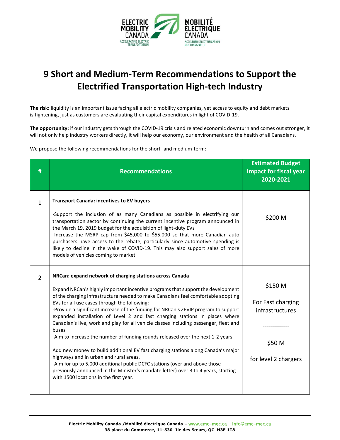

# **9 Short and Medium-Term Recommendations to Support the Electrified Transportation High-tech Industry**

**The risk:** liquidity is an important issue facing all electric mobility companies, yet access to equity and debt markets is tightening, just as customers are evaluating their capital expenditures in light of COVID-19.

**The opportunity:** if our industry gets through the COVID-19 crisis and related economic downturn and comes out stronger, it will not only help industry workers directly, it will help our economy, our environment and the health of all Canadians.

We propose the following recommendations for the short- and medium-term:

| #              | <b>Recommendations</b>                                                                                                                                                                                                                                                                                                                                                                                                                                                                                                                                                                                                                                                                                                                                                                                                                                                                                                                                                                 | <b>Estimated Budget</b><br><b>Impact for fiscal year</b><br>2020-2021             |
|----------------|----------------------------------------------------------------------------------------------------------------------------------------------------------------------------------------------------------------------------------------------------------------------------------------------------------------------------------------------------------------------------------------------------------------------------------------------------------------------------------------------------------------------------------------------------------------------------------------------------------------------------------------------------------------------------------------------------------------------------------------------------------------------------------------------------------------------------------------------------------------------------------------------------------------------------------------------------------------------------------------|-----------------------------------------------------------------------------------|
| $\mathbf 1$    | <b>Transport Canada: incentives to EV buyers</b><br>-Support the inclusion of as many Canadians as possible in electrifying our<br>transportation sector by continuing the current incentive program announced in<br>the March 19, 2019 budget for the acquisition of light-duty EVs<br>-Increase the MSRP cap from \$45,000 to \$55,000 so that more Canadian auto<br>purchasers have access to the rebate, particularly since automotive spending is<br>likely to decline in the wake of COVID-19. This may also support sales of more<br>models of vehicles coming to market                                                                                                                                                                                                                                                                                                                                                                                                        | \$200 M                                                                           |
| $\overline{2}$ | NRCan: expand network of charging stations across Canada<br>Expand NRCan's highly important incentive programs that support the development<br>of the charging infrastructure needed to make Canadians feel comfortable adopting<br>EVs for all use cases through the following:<br>-Provide a significant increase of the funding for NRCan's ZEVIP program to support<br>expanded installation of Level 2 and fast charging stations in places where<br>Canadian's live, work and play for all vehicle classes including passenger, fleet and<br>buses<br>-Aim to increase the number of funding rounds released over the next 1-2 years<br>Add new money to build additional EV fast charging stations along Canada's major<br>highways and in urban and rural areas.<br>-Aim for up to 5,000 additional public DCFC stations (over and above those<br>previously announced in the Minister's mandate letter) over 3 to 4 years, starting<br>with 1500 locations in the first year. | \$150 M<br>For Fast charging<br>infrastructures<br>\$50 M<br>for level 2 chargers |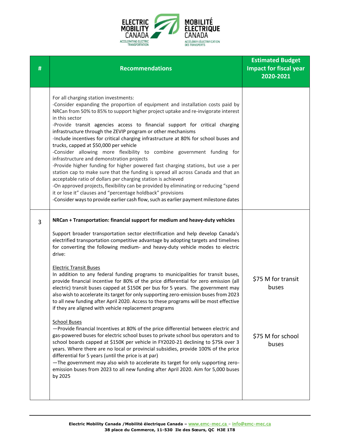

| # | <b>Recommendations</b>                                                                                                                                                                                                                                                                                                                                                                                                                                                                                                                                                                                                                                                                                                                                                                                                                                                                                                                                                                                                                                                                                                                                                                                                                                                                                                                                                                                                                                                                                                | <b>Estimated Budget</b><br><b>Impact for fiscal year</b><br>2020-2021 |
|---|-----------------------------------------------------------------------------------------------------------------------------------------------------------------------------------------------------------------------------------------------------------------------------------------------------------------------------------------------------------------------------------------------------------------------------------------------------------------------------------------------------------------------------------------------------------------------------------------------------------------------------------------------------------------------------------------------------------------------------------------------------------------------------------------------------------------------------------------------------------------------------------------------------------------------------------------------------------------------------------------------------------------------------------------------------------------------------------------------------------------------------------------------------------------------------------------------------------------------------------------------------------------------------------------------------------------------------------------------------------------------------------------------------------------------------------------------------------------------------------------------------------------------|-----------------------------------------------------------------------|
|   | For all charging station investments:<br>-Consider expanding the proportion of equipment and installation costs paid by<br>NRCan from 50% to 85% to support higher project uptake and re-invigorate interest<br>in this sector<br>-Provide transit agencies access to financial support for critical charging<br>infrastructure through the ZEVIP program or other mechanisms<br>-Include incentives for critical charging infrastructure at 80% for school buses and<br>trucks, capped at \$50,000 per vehicle<br>-Consider allowing more flexibility to combine government funding for<br>infrastructure and demonstration projects<br>-Provide higher funding for higher powered fast charging stations, but use a per<br>station cap to make sure that the funding is spread all across Canada and that an<br>acceptable ratio of dollars per charging station is achieved<br>-On approved projects, flexibility can be provided by eliminating or reducing "spend<br>it or lose it" clauses and "percentage holdback" provisions<br>-Consider ways to provide earlier cash flow, such as earlier payment milestone dates                                                                                                                                                                                                                                                                                                                                                                                         |                                                                       |
| 3 | NRCan + Transportation: financial support for medium and heavy-duty vehicles<br>Support broader transportation sector electrification and help develop Canada's<br>electrified transportation competitive advantage by adopting targets and timelines<br>for converting the following medium- and heavy-duty vehicle modes to electric<br>drive:<br><b>Electric Transit Buses</b><br>In addition to any federal funding programs to municipalities for transit buses,<br>provide financial incentive for 80% of the price differential for zero emission (all<br>electric) transit buses capped at \$150K per bus for 5 years. The government may<br>also wish to accelerate its target for only supporting zero-emission buses from 2023<br>to all new funding after April 2020. Access to these programs will be most effective<br>if they are aligned with vehicle replacement programs<br><b>School Buses</b><br>-Provide financial Incentives at 80% of the price differential between electric and<br>gas-powered buses for electric school buses to private school bus operators and to<br>school boards capped at \$150K per vehicle in FY2020-21 declining to \$75k over 3<br>years. Where there are no local or provincial subsidies, provide 100% of the price<br>differential for 5 years (until the price is at par)<br>-The government may also wish to accelerate its target for only supporting zero-<br>emission buses from 2023 to all new funding after April 2020. Aim for 5,000 buses<br>by 2025 | \$75 M for transit<br>buses<br>\$75 M for school<br>buses             |
|   |                                                                                                                                                                                                                                                                                                                                                                                                                                                                                                                                                                                                                                                                                                                                                                                                                                                                                                                                                                                                                                                                                                                                                                                                                                                                                                                                                                                                                                                                                                                       |                                                                       |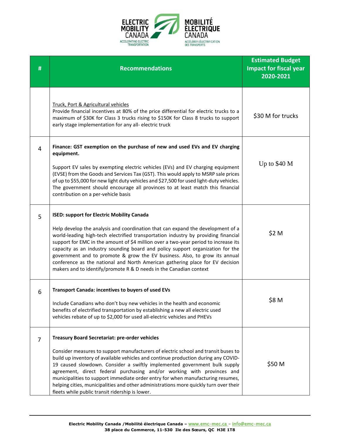

| # | <b>Recommendations</b>                                                                                                                                                                                                                                                                                                                                                                                                                                                                                                                                                                                                                   | <b>Estimated Budget</b><br><b>Impact for fiscal year</b><br>2020-2021 |
|---|------------------------------------------------------------------------------------------------------------------------------------------------------------------------------------------------------------------------------------------------------------------------------------------------------------------------------------------------------------------------------------------------------------------------------------------------------------------------------------------------------------------------------------------------------------------------------------------------------------------------------------------|-----------------------------------------------------------------------|
|   | Truck, Port & Agricultural vehicles<br>Provide financial incentives at 80% of the price differential for electric trucks to a<br>maximum of \$30K for Class 3 trucks rising to \$150K for Class 8 trucks to support<br>early stage implementation for any all-electric truck                                                                                                                                                                                                                                                                                                                                                             | \$30 M for trucks                                                     |
| 4 | Finance: GST exemption on the purchase of new and used EVs and EV charging<br>equipment.<br>Support EV sales by exempting electric vehicles (EVs) and EV charging equipment<br>(EVSE) from the Goods and Services Tax (GST). This would apply to MSRP sale prices<br>of up to \$55,000 for new light duty vehicles and \$27,500 for used light-duty vehicles.<br>The government should encourage all provinces to at least match this financial<br>contribution on a per-vehicle basis                                                                                                                                                   | Up to $$40 M$                                                         |
| 5 | <b>ISED: support for Electric Mobility Canada</b><br>Help develop the analysis and coordination that can expand the development of a<br>world-leading high-tech electrified transportation industry by providing financial<br>support for EMC in the amount of \$4 million over a two-year period to increase its<br>capacity as an industry sounding board and policy support organization for the<br>government and to promote & grow the EV business. Also, to grow its annual<br>conference as the national and North American gathering place for EV decision<br>makers and to identify/promote R & D needs in the Canadian context | \$2 M                                                                 |
| 6 | <b>Transport Canada: incentives to buyers of used EVs</b><br>Include Canadians who don't buy new vehicles in the health and economic<br>benefits of electrified transportation by establishing a new all electric used<br>vehicles rebate of up to \$2,000 for used all-electric vehicles and PHEVs                                                                                                                                                                                                                                                                                                                                      | \$8 M                                                                 |
| 7 | Treasury Board Secretariat: pre-order vehicles<br>Consider measures to support manufacturers of electric school and transit buses to<br>build up inventory of available vehicles and continue production during any COVID-<br>19 caused slowdown. Consider a swiftly implemented government bulk supply<br>agreement, direct federal purchasing and/or working with provinces and<br>municipalities to support immediate order entry for when manufacturing resumes,<br>helping cities, municipalities and other administrations more quickly turn over their<br>fleets while public transit ridership is lower.                         | \$50 M                                                                |